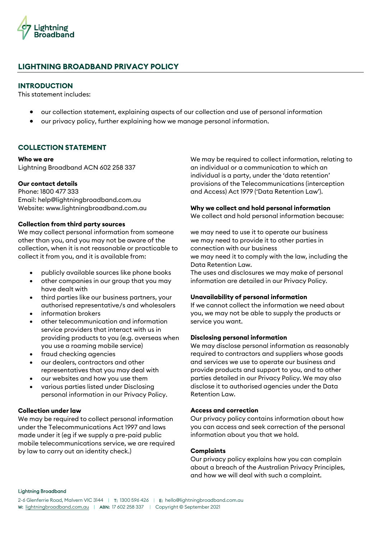

# **LIGHTNING BROADBAND PRIVACY POLICY**

## **INTRODUCTION**

This statement includes:

- our collection statement, explaining aspects of our collection and use of personal information
- our privacy policy, further explaining how we manage personal information.

## **COLLECTION STATEMENT**

#### **Who we are**

Lightning Broadband ACN 602 258 337

#### **Our contact details**

Phone: 1800 477 333 Email: help@lightningbroadband.com.au Website: www.lightningbroadband.com.au

#### **Collection from third party sources**

We may collect personal information from someone other than you, and you may not be aware of the collection, when it is not reasonable or practicable to collect it from you, and it is available from:

- publicly available sources like phone books
- other companies in our group that you may have dealt with
- third parties like our business partners, your authorised representative/s and wholesalers
- information brokers
- other telecommunication and information service providers that interact with us in providing products to you (e.g. overseas when you use a roaming mobile service)
- fraud checking agencies
- our dealers, contractors and other representatives that you may deal with
- our websites and how you use them
- various parties listed under Disclosing personal information in our Privacy Policy.

#### **Collection under law**

We may be required to collect personal information under the Telecommunications Act 1997 and laws made under it (eg if we supply a pre-paid public mobile telecommunications service, we are required by law to carry out an identity check.)

We may be required to collect information, relating to an individual or a communication to which an individual is a party, under the 'data retention' provisions of the Telecommunications (interception and Access) Act 1979 ('Data Retention Law').

## **Why we collect and hold personal information**

We collect and hold personal information because:

we may need to use it to operate our business we may need to provide it to other parties in connection with our business we may need it to comply with the law, including the Data Retention Law.

The uses and disclosures we may make of personal information are detailed in our Privacy Policy.

## **Unavailability of personal information**

If we cannot collect the information we need about you, we may not be able to supply the products or service you want.

#### **Disclosing personal information**

We may disclose personal information as reasonably required to contractors and suppliers whose goods and services we use to operate our business and provide products and support to you, and to other parties detailed in our Privacy Policy. We may also disclose it to authorised agencies under the Data Retention Law.

#### **Access and correction**

Our privacy policy contains information about how you can access and seek correction of the personal information about you that we hold.

#### **Complaints**

Our privacy policy explains how you can complain about a breach of the Australian Privacy Principles, and how we will deal with such a complaint.

#### Lightning Broadband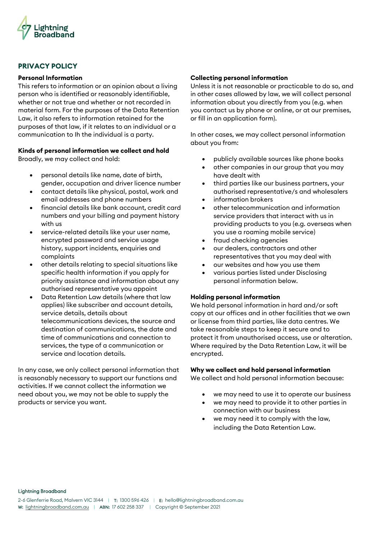

## **PRIVACY POLICY**

#### **Personal Information**

This refers to information or an opinion about a living person who is identified or reasonably identifiable, whether or not true and whether or not recorded in material form. For the purposes of the Data Retention Law, it also refers to information retained for the purposes of that law, if it relates to an individual or a communication to Ih the individual is a party.

# **Kinds of personal information we collect and hold**

Broadly, we may collect and hold:

- personal details like name, date of birth, gender, occupation and driver licence number
- contact details like physical, postal, work and email addresses and phone numbers
- financial details like bank account, credit card numbers and your billing and payment history with us
- service-related details like your user name, encrypted password and service usage history, support incidents, enquiries and complaints
- other details relating to special situations like specific health information if you apply for priority assistance and information about any authorised representative you appoint
- Data Retention Law details (where that law applies) like subscriber and account details, service details, details about telecommunications devices, the source and destination of communications, the date and time of communications and connection to services, the type of a communication or service and location details.

In any case, we only collect personal information that is reasonably necessary to support our functions and activities. If we cannot collect the information we need about you, we may not be able to supply the products or service you want.

## **Collecting personal information**

Unless it is not reasonable or practicable to do so, and in other cases allowed by law, we will collect personal information about you directly from you (e.g. when you contact us by phone or online, or at our premises, or fill in an application form).

In other cases, we may collect personal information about you from:

- publicly available sources like phone books
- other companies in our group that you may have dealt with
- third parties like our business partners, your authorised representative/s and wholesalers
- information brokers
- other telecommunication and information service providers that interact with us in providing products to you (e.g. overseas when you use a roaming mobile service)
- fraud checking agencies
- our dealers, contractors and other representatives that you may deal with
- our websites and how you use them
- various parties listed under Disclosing personal information below.

## **Holding personal information**

We hold personal information in hard and/or soft copy at our offices and in other facilities that we own or license from third parties, like data centres. We take reasonable steps to keep it secure and to protect it from unauthorised access, use or alteration. Where required by the Data Retention Law, it will be encrypted.

## **Why we collect and hold personal information**

We collect and hold personal information because:

- we may need to use it to operate our business
- we may need to provide it to other parties in connection with our business
- we may need it to comply with the law, including the Data Retention Law.

Lightning Broadband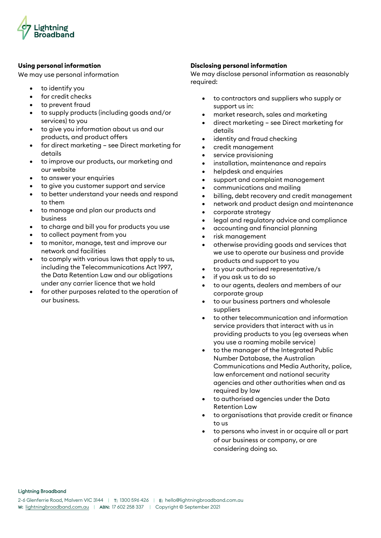

## **Using personal information**

We may use personal information

- to identify you
- for credit checks
- to prevent fraud
- to supply products (including goods and/or services) to you
- to give you information about us and our products, and product offers
- for direct marketing see Direct marketing for details
- to improve our products, our marketing and our website
- to answer your enquiries
- to give you customer support and service
- to better understand your needs and respond to them
- to manage and plan our products and business
- to charge and bill you for products you use
- to collect payment from you
- to monitor, manage, test and improve our network and facilities
- to comply with various laws that apply to us, including the Telecommunications Act 1997, the Data Retention Law and our obligations under any carrier licence that we hold
- for other purposes related to the operation of our business.

## **Disclosing personal information**

We may disclose personal information as reasonably required:

- to contractors and suppliers who supply or support us in:
- market research, sales and marketing
- direct marketing see Direct marketing for details
- identity and fraud checking
- credit management
- service provisioning
- installation, maintenance and repairs
- helpdesk and enquiries
- support and complaint management
- communications and mailing
- billing, debt recovery and credit management
- network and product design and maintenance
- corporate strategy
- legal and regulatory advice and compliance
- accounting and financial planning
- risk management
- otherwise providing goods and services that we use to operate our business and provide products and support to you
- to your authorised representative/s
- if you ask us to do so
- to our agents, dealers and members of our corporate group
- to our business partners and wholesale suppliers
- to other telecommunication and information service providers that interact with us in providing products to you (eg overseas when you use a roaming mobile service)
- to the manager of the Integrated Public Number Database, the Australian Communications and Media Authority, police, law enforcement and national security agencies and other authorities when and as required by law
- to authorised agencies under the Data Retention Law
- to organisations that provide credit or finance to us
- to persons who invest in or acquire all or part of our business or company, or are considering doing so.

Lightning Broadband